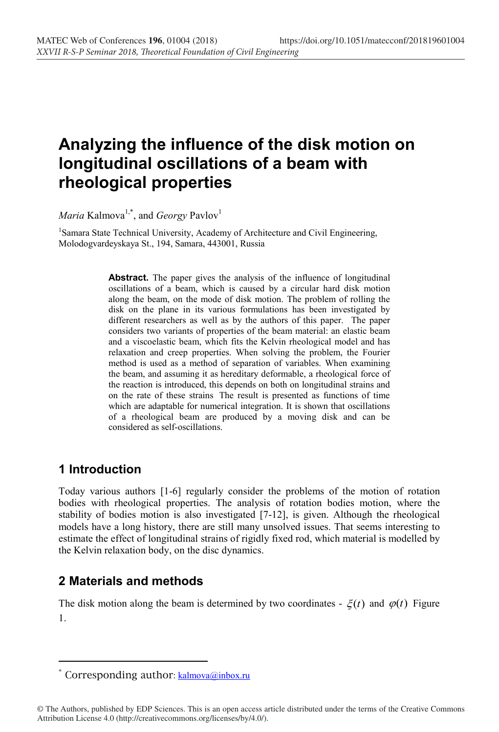# **Analyzing the influence of the disk motion on longitudinal oscillations of a beam with rheological properties**

 $\emph{Maria$  Kalmova<sup>1,\*</sup>, and *Georgy* Pavlov<sup>1</sup>

<sup>1</sup>Samara State Technical University, Academy of Architecture and Civil Engineering, Molodogvardeyskaya St., 194, Samara, 443001, Russia

> **Abstract.** The paper gives the analysis of the influence of longitudinal oscillations of a beam, which is caused by a circular hard disk motion along the beam, on the mode of disk motion. The problem of rolling the disk on the plane in its various formulations has been investigated by different researchers as well as by the authors of this paper. The paper considers two variants of properties of the beam material: an elastic beam and a viscoelastic beam, which fits the Kelvin rheological model and has relaxation and creep properties. When solving the problem, the Fourier method is used as a method of separation of variables. When examining the beam, and assuming it as hereditary deformable, a rheological force of the reaction is introduced, this depends on both on longitudinal strains and on the rate of these strains The result is presented as functions of time which are adaptable for numerical integration. It is shown that oscillations of a rheological beam are produced by a moving disk and can be considered as self-oscillations.

### **1 Introduction**

 $\overline{a}$ 

Today various authors [1-6] regularly consider the problems of the motion of rotation bodies with rheological properties. The analysis of rotation bodies motion, where the stability of bodies motion is also investigated [7-12], is given. Although the rheological models have a long history, there are still many unsolved issues. That seems interesting to estimate the effect of longitudinal strains of rigidly fixed rod, which material is modelled by the Kelvin relaxation body, on the disc dynamics.

### **2 Materials and methods**

The disk motion along the beam is determined by two coordinates -  $\xi(t)$  and  $\varphi(t)$  Figure 1.

<sup>\*</sup> Corresponding author:  $\text{kalmova}(\partial_i \text{inbox.ru})$ 

<sup>©</sup> The Authors, published by EDP Sciences. This is an open access article distributed under the terms of the Creative Commons Attribution License 4.0 (http://creativecommons.org/licenses/by/4.0/).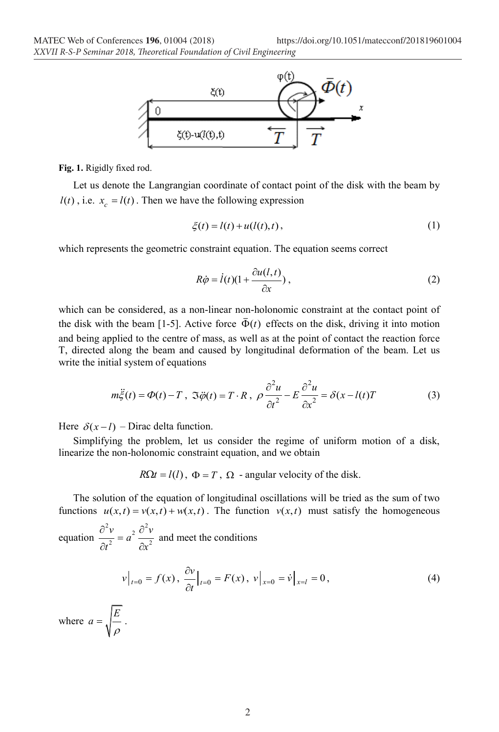

**Fig. 1.** Rigidly fixed rod.

Let us denote the Langrangian coordinate of contact point of the disk with the beam by  $l(t)$ , i.e.  $x_c = l(t)$ . Then we have the following expression

$$
\xi(t) = l(t) + u(l(t), t), \qquad (1)
$$

which represents the geometric constraint equation. The equation seems correct

$$
R\dot{\varphi} = \dot{l}(t)(1 + \frac{\partial u(l,t)}{\partial x}),
$$
\n(2)

which can be considered, as a non-linear non-holonomic constraint at the contact point of the disk with the beam [1-5]. Active force  $\bar{\Phi}(t)$  effects on the disk, driving it into motion and being applied to the centre of mass, as well as at the point of contact the reaction force Т, directed along the beam and caused by longitudinal deformation of the beam. Let us write the initial system of equations

$$
m\ddot{\xi}(t) = \Phi(t) - T, \ \Im \ddot{\phi}(t) = T \cdot R, \ \rho \frac{\partial^2 u}{\partial t^2} - E \frac{\partial^2 u}{\partial x^2} = \delta(x - l(t))T \tag{3}
$$

Here  $\delta(x-l)$  – Dirac delta function.

Simplifying the problem, let us consider the regime of uniform motion of a disk, linearize the non-holonomic constraint equation, and we obtain

 $R\Omega t = l(l)$ ,  $\Phi = T$ ,  $\Omega$  - angular velocity of the disk.

The solution of the equation of longitudinal oscillations will be tried as the sum of two functions  $u(x,t) = v(x,t) + w(x,t)$ . The function  $v(x,t)$  must satisfy the homogeneous

equation <sup>2</sup> $v_{2}$ <sup>2</sup> 2  $\sim$  2  $\frac{v}{2} = a^2 \frac{\partial^2 v}{\partial x^2}$  $\frac{\partial^2 v}{\partial t^2} = a^2 \frac{\partial^2 v}{\partial x^2}$  and meet the conditions

$$
v\big|_{t=0} = f(x), \frac{\partial v}{\partial t}\big|_{t=0} = F(x), v\big|_{x=0} = \dot{v}\big|_{x=l} = 0,
$$
\n(4)

where  $a = \sqrt{\frac{E}{\rho}}$ .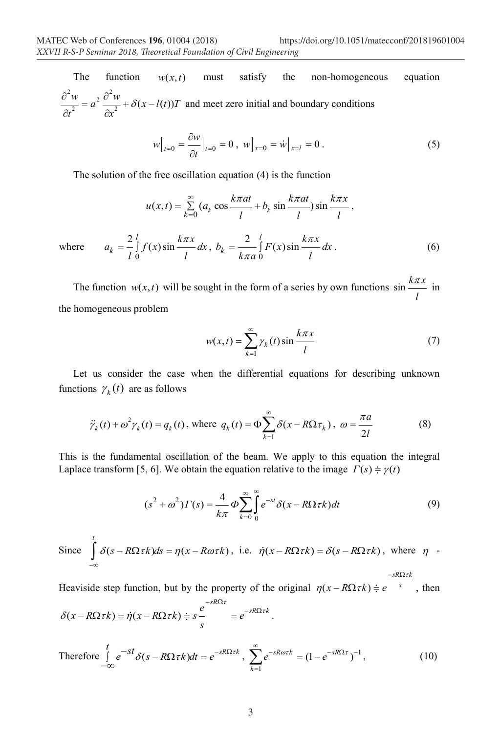The function  $w(x,t)$  must satisfy the non-homogeneous equation  $\frac{d^2 w}{dx^2} = a^2 \frac{\partial^2 w}{\partial x^2} + \delta(x - l(t))T$  $t^2$   $\partial x$  $\frac{\partial^2 w}{\partial x^2} = a^2 \frac{\partial^2 w}{\partial x^2} + \delta(x \partial t^2$   $\partial$ and meet zero initial and boundary conditions

$$
w\Big|_{t=0} = \frac{\partial w}{\partial t}\Big|_{t=0} = 0 \ , \ w\Big|_{x=0} = \dot{w}\Big|_{x=l} = 0 \ . \tag{5}
$$

The solution of the free oscillation equation (4) is the function

$$
u(x,t) = \sum_{k=0}^{\infty} (a_k \cos \frac{k\pi at}{l} + b_k \sin \frac{k\pi at}{l}) \sin \frac{k\pi x}{l},
$$
  

$$
a_k = \frac{2}{l} \int_0^l f(x) \sin \frac{k\pi x}{l} dx, b_k = \frac{2}{k\pi a} \int_0^l F(x) \sin \frac{k\pi x}{l} dx.
$$
 (6)

where  $a$ 

The function  $w(x, t)$  will be sought in the form of a series by own functions  $\sin \frac{k\pi x}{2}$ *l*  $\frac{\pi x}{\pi}$  in the homogeneous problem

$$
w(x,t) = \sum_{k=1}^{\infty} \gamma_k(t) \sin \frac{k\pi x}{l}
$$
 (7)

Let us consider the case when the differential equations for describing unknown functions  $\gamma_k(t)$  are as follows

$$
\ddot{\gamma}_k(t) + \omega^2 \gamma_k(t) = q_k(t), \text{ where } q_k(t) = \Phi \sum_{k=1}^{\infty} \delta(x - R\Omega \tau_k), \ \omega = \frac{\pi a}{2l} \tag{8}
$$

This is the fundamental oscillation of the beam. We apply to this equation the integral Laplace transform [5, 6]. We obtain the equation relative to the image  $\Gamma(s) = \gamma(t)$ 

$$
(s2 + \omega2)\Gamma(s) = \frac{4}{k\pi} \Phi \sum_{k=0}^{\infty} \int_{0}^{\infty} e^{-st} \delta(x - R\Omega \tau k) dt
$$
 (9)

Since 
$$
\int_{-\infty}^{t} \delta(s - R\Omega \tau k) ds = \eta(x - R\omega \tau k), \text{ i.e. } \dot{\eta}(x - R\Omega \tau k) = \delta(s - R\Omega \tau k), \text{ where } \eta \to 0.
$$

Heaviside step function, but by the property of the original  $\eta(x - R\Omega \tau k) \doteq e^{-s}$ , then  $-sR\Omega$ *tk* 

$$
\delta(x - R\Omega \tau k) = \dot{\eta}(x - R\Omega \tau k) \doteqdot s \frac{e^{-sR\Omega \tau}}{s} = e^{-sR\Omega \tau k}.
$$

Therefore 
$$
\int_{-\infty}^{t} e^{-st} \delta(s - R\Omega \tau k) dt = e^{-sR\Omega \tau k}, \sum_{k=1}^{\infty} e^{-sR\omega \tau k} = (1 - e^{-sR\Omega \tau})^{-1},
$$
 (10)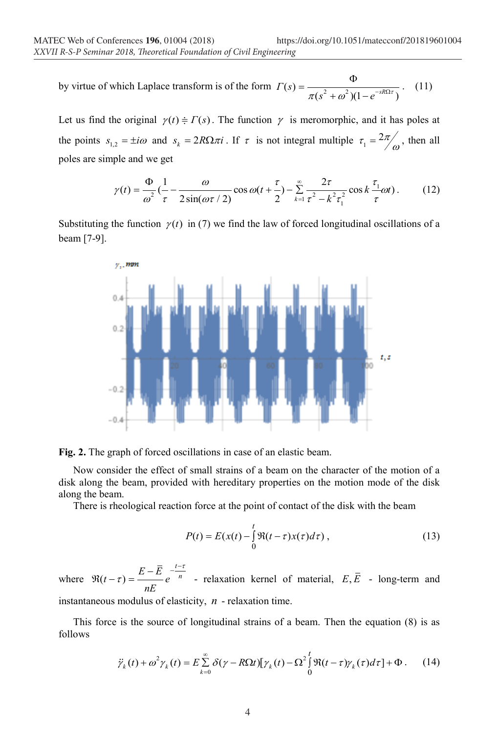by virtue of which Laplace transform is of the form  $\Gamma(s) = \frac{\Phi}{\pi (s^2 + \omega^2)(1 - e^{-sR\Omega\tau})}$ . (11)

Let us find the original  $\gamma(t) = \Gamma(s)$ . The function  $\gamma$  is meromorphic, and it has poles at the points  $s_{1,2} = \pm i\omega$  and  $s_k = 2R\Omega \pi i$ . If  $\tau$  is not integral multiple  $\tau_1 = \frac{2\pi}{\omega}$ , then all poles are simple and we get

$$
\gamma(t) = \frac{\Phi}{\omega^2} \left( \frac{1}{\tau} - \frac{\omega}{2\sin(\omega\tau/2)} \cos \omega(t + \frac{\tau}{2}) - \sum_{k=1}^{\infty} \frac{2\tau}{\tau^2 - k^2 \tau_1^2} \cos k \frac{\tau_1}{\tau} \omega t \right). \tag{12}
$$

Substituting the function  $\gamma(t)$  in (7) we find the law of forced longitudinal oscillations of a beam [7-9].



**Fig. 2.** The graph of forced oscillations in case of an elastic beam.

Now consider the effect of small strains of a beam on the character of the motion of a disk along the beam, provided with hereditary properties on the motion mode of the disk along the beam.

There is rheological reaction force at the point of contact of the disk with the beam

$$
P(t) = E(x(t) - \int_{0}^{t} \Re(t - \tau)x(\tau)d\tau),
$$
\n(13)

where  $\Re(t-\tau)$  $(t-\tau) = \frac{E-\bar{E}}{E} e^{-\frac{t-\tau}{n}}$ *nE* τ  $\Re(t-\tau) = \frac{E-\overline{E}}{e^{-n}} e^{-\frac{t-\tau}{n}}$  - relaxation kernel of material,  $E, \overline{E}$  - long-term and instantaneous modulus of elasticity, *n* - relaxation time.

This force is the source of longitudinal strains of a beam. Then the equation (8) is as follows

$$
\ddot{\gamma}_k(t) + \omega^2 \gamma_k(t) = E \sum_{k=0}^{\infty} \delta(\gamma - R\Omega t) [\gamma_k(t) - \Omega^2 \int_0^t \Re(t - \tau) \gamma_k(\tau) d\tau] + \Phi. \tag{14}
$$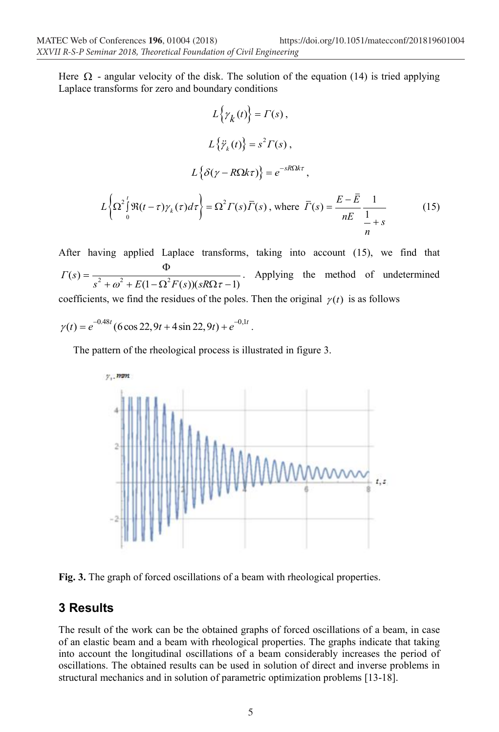Here  $\Omega$  - angular velocity of the disk. The solution of the equation (14) is tried applying Laplace transforms for zero and boundary conditions

$$
L\{\gamma_k(t)\} = \Gamma(s),
$$
  
\n
$$
L\{\ddot{\gamma}_k(t)\} = s^2 \Gamma(s),
$$
  
\n
$$
L\{\delta(\gamma - R\Omega k\tau)\} = e^{-sR\Omega k\tau},
$$
  
\n
$$
L\{\Omega^2 \int_0^t \Re(t - \tau)\gamma_k(\tau)d\tau\} = \Omega^2 \Gamma(s)\overline{\Gamma}(s), \text{ where } \overline{\Gamma}(s) = \frac{E - \overline{E}}{nE} \frac{1}{\frac{1}{n} + s}
$$
(15)

After having applied Laplace transforms, taking into account (15), we find that  $(s) = \frac{1}{s^2 + \omega^2 + E(1 - \Omega^2 F(s))(sR\Omega \tau - 1)}$ *Г s*  $=\frac{\Phi}{s^2 + \omega^2 + E(1 - \Omega^2 F(s))(sR\Omega \tau - 1)}$ . Applying the method of undetermined coefficients, we find the residues of the poles. Then the original  $\gamma(t)$  is as follows

 $\gamma(t) = e^{-0.48t} (6 \cos 22.9t + 4 \sin 22.9t) + e^{-0.1t}$ .

The pattern of the rheological process is illustrated in figure 3.



**Fig. 3.** The graph of forced oscillations of a beam with rheological properties.

## **3 Results**

The result of the work can be the obtained graphs of forced oscillations of a beam, in case of an elastic beam and a beam with rheological properties. The graphs indicate that taking into account the longitudinal oscillations of a beam considerably increases the period of oscillations. The obtained results can be used in solution of direct and inverse problems in structural mechanics and in solution of parametric optimization problems [13-18].